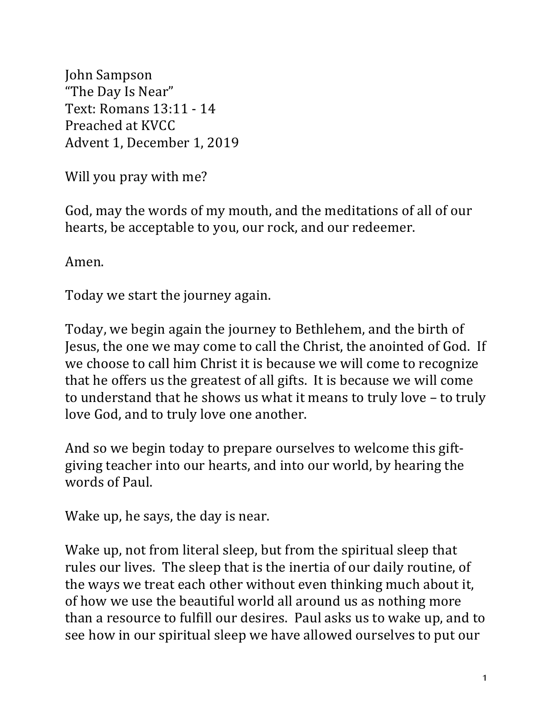John Sampson "The Day Is Near" Text: Romans 13:11 - 14 Preached at KVCC Advent 1, December 1, 2019

Will you pray with me?

God, may the words of my mouth, and the meditations of all of our hearts, be acceptable to you, our rock, and our redeemer.

Amen.

Today we start the journey again.

Today, we begin again the journey to Bethlehem, and the birth of Jesus, the one we may come to call the Christ, the anointed of God. If we choose to call him Christ it is because we will come to recognize that he offers us the greatest of all gifts. It is because we will come to understand that he shows us what it means to truly love - to truly love God, and to truly love one another.

And so we begin today to prepare ourselves to welcome this giftgiving teacher into our hearts, and into our world, by hearing the words of Paul.

Wake up, he says, the day is near.

Wake up, not from literal sleep, but from the spiritual sleep that rules our lives. The sleep that is the inertia of our daily routine, of the ways we treat each other without even thinking much about it, of how we use the beautiful world all around us as nothing more than a resource to fulfill our desires. Paul asks us to wake up, and to see how in our spiritual sleep we have allowed ourselves to put our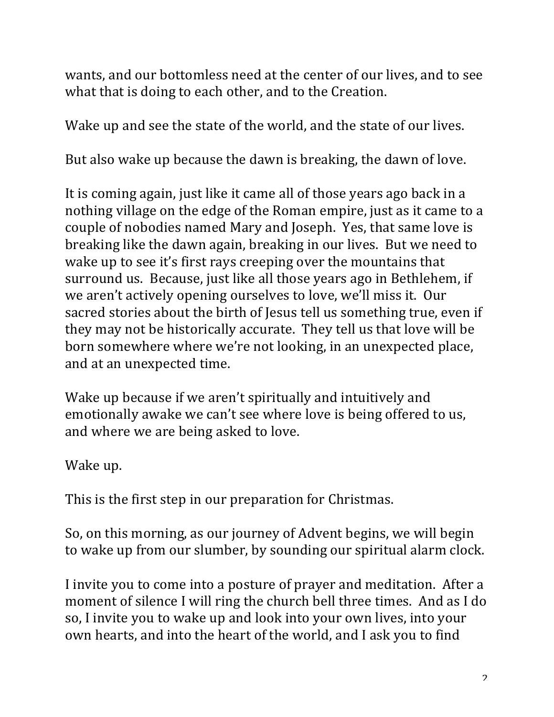wants, and our bottomless need at the center of our lives, and to see what that is doing to each other, and to the Creation.

Wake up and see the state of the world, and the state of our lives.

But also wake up because the dawn is breaking, the dawn of love.

It is coming again, just like it came all of those years ago back in a nothing village on the edge of the Roman empire, just as it came to a couple of nobodies named Mary and Joseph. Yes, that same love is breaking like the dawn again, breaking in our lives. But we need to wake up to see it's first rays creeping over the mountains that surround us. Because, just like all those years ago in Bethlehem, if we aren't actively opening ourselves to love, we'll miss it. Our sacred stories about the birth of Jesus tell us something true, even if they may not be historically accurate. They tell us that love will be born somewhere where we're not looking, in an unexpected place, and at an unexpected time.

Wake up because if we aren't spiritually and intuitively and emotionally awake we can't see where love is being offered to us, and where we are being asked to love.

Wake up.

This is the first step in our preparation for Christmas.

So, on this morning, as our journey of Advent begins, we will begin to wake up from our slumber, by sounding our spiritual alarm clock.

I invite you to come into a posture of prayer and meditation. After a moment of silence I will ring the church bell three times. And as I do so, I invite you to wake up and look into your own lives, into your own hearts, and into the heart of the world, and I ask you to find